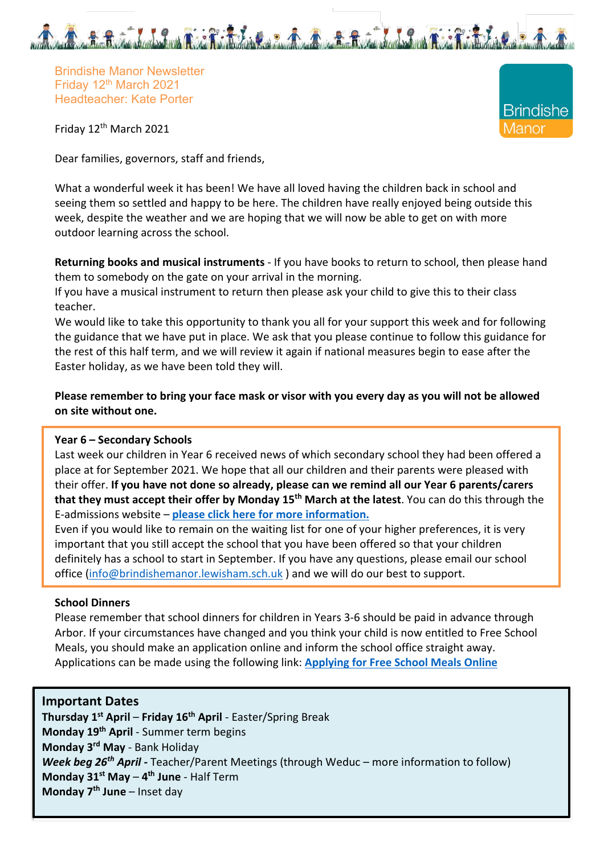

**Brindishe** 

/lanor

Brindishe Manor Newsletter Friday 12th March 2021 Headteacher: Kate Porter

Friday 12th March 2021

Dear families, governors, staff and friends,

What a wonderful week it has been! We have all loved having the children back in school and seeing them so settled and happy to be here. The children have really enjoyed being outside this week, despite the weather and we are hoping that we will now be able to get on with more outdoor learning across the school.

**Returning books and musical instruments** - If you have books to return to school, then please hand them to somebody on the gate on your arrival in the morning.

If you have a musical instrument to return then please ask your child to give this to their class teacher.

We would like to take this opportunity to thank you all for your support this week and for following the guidance that we have put in place. We ask that you please continue to follow this guidance for the rest of this half term, and we will review it again if national measures begin to ease after the Easter holiday, as we have been told they will.

**Please remember to bring your face mask or visor with you every day as you will not be allowed on site without one.**

### **Year 6 – Secondary Schools**

Last week our children in Year 6 received news of which secondary school they had been offered a place at for September 2021. We hope that all our children and their parents were pleased with their offer. **If you have not done so already, please can we remind all our Year 6 parents/carers that they must accept their offer by Monday 15th March at the latest**. You can do this through the E-admissions website – **please click here for more information.**

Even if you would like to remain on the waiting list for one of your higher preferences, it is very important that you still accept the school that you have been offered so that your children definitely has a school to start in September. If you have any questions, please email our school office (info@brindishemanor.lewisham.sch.uk ) and we will do our best to support.

#### **School Dinners**

Please remember that school dinners for children in Years 3-6 should be paid in advance through Arbor. If your circumstances have changed and you think your child is now entitled to Free School Meals, you should make an application online and inform the school office straight away. Applications can be made using the following link: **Applying for Free School Meals Online**

### **Important Dates**

**Thursday 1st April** – **Friday 16th April** - Easter/Spring Break **Monday 19th April** - Summer term begins **Monday 3rd May** - Bank Holiday *Week beg 26th April -* Teacher/Parent Meetings (through Weduc – more information to follow) **Monday 31st May** – **4th June** - Half Term **Monday 7th June** – Inset day